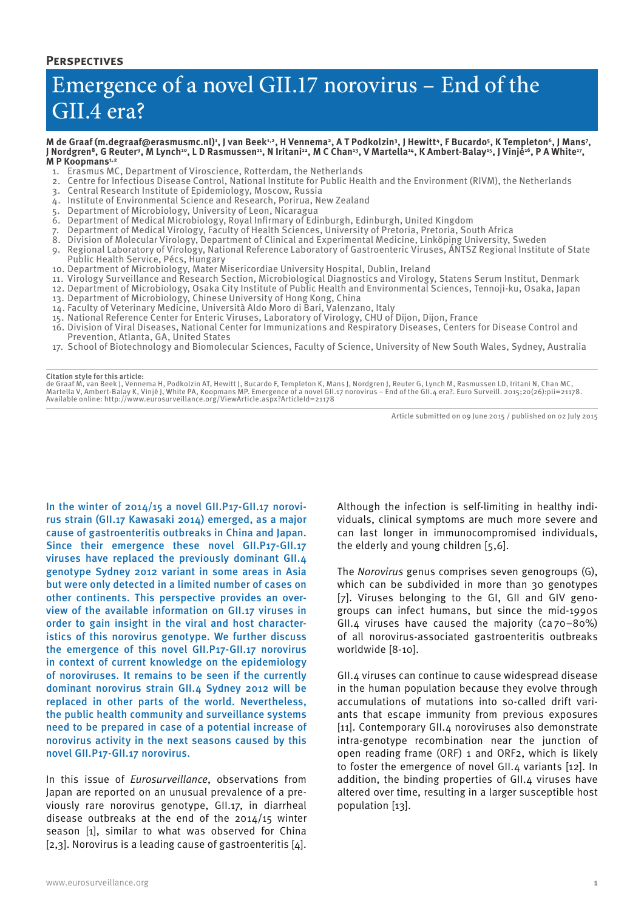### **Perspectives**

# Emergence of a novel GII.17 norovirus – End of the GII.4 era?

M de Graaf (m.degraaf@erasmusmc.nl)<sup>1</sup>, J van Beek<sup>1,2</sup>, H Vennema<sup>2</sup>, A T Podkolzin<sup>3</sup>, J Hewitt<sup>4</sup>, F Bucardo<sup>5</sup>, K Templeton<sup>6</sup>, J Mans<sup>7</sup> J Nordgren<sup>8</sup>, G Reuter<sup>9</sup>, M Lynch<sup>10</sup>, L D Rasmussen<sup>11</sup>, N Iritani<sup>12</sup>, M C Chan<sup>13</sup>, V Martella<sup>14</sup>, K Ambert-Balay<sup>15</sup>, J Vinjé<sup>16</sup>, P A White<sup>17</sup>, M P Koopmans<sup>1,2</sup>

- 1. Erasmus MC, Department of Viroscience, Rotterdam, the Netherlands
- 2. Centre for Infectious Disease Control, National Institute for Public Health and the Environment (RIVM), the Netherlands
- 3. Central Research Institute of Epidemiology, Moscow, Russia
- 4. Institute of Environmental Science and Research, Porirua, New Zealand
- 5. Department of Microbiology, University of Leon, Nicaragua
- 6. Department of Medical Microbiology, Royal Infirmary of Edinburgh, Edinburgh, United Kingdom
- 7. Department of Medical Virology, Faculty of Health Sciences, University of Pretoria, Pretoria, South Africa
- 8. Division of Molecular Virology, Department of Clinical and Experimental Medicine, Linköping University, Sweden
- 9. Regional Laboratory of Virology, National Reference Laboratory of Gastroenteric Viruses, ÁNTSZ Regional Institute of State Public Health Service, Pécs, Hungary
- 10. Department of Microbiology, Mater Misericordiae University Hospital, Dublin, Ireland
- 11. Virology Surveillance and Research Section, Microbiological Diagnostics and Virology, Statens Serum Institut, Denmark
- 12. Department of Microbiology, Osaka City Institute of Public Health and Environmental Sciences, Tennoji-ku, Osaka, Japan
- 13. Department of Microbiology, Chinese University of Hong Kong, China
- 14. Faculty of Veterinary Medicine, Università Aldo Moro di Bari, Valenzano, Italy
- 15. National Reference Center for Enteric Viruses, Laboratory of Virology, CHU of Dijon, Dijon, France
- 16. Division of Viral Diseases, National Center for Immunizations and Respiratory Diseases, Centers for Disease Control and Prevention, Atlanta, GA, United States
- 17. School of Biotechnology and Biomolecular Sciences, Faculty of Science, University of New South Wales, Sydney, Australia

#### **Citation style for this article:**

de Graaf M, van Beek J, Vennema H, Podkolzin AT, Hewitt J, Bucardo F, Templeton K, Mans J, Nordgren J, Reuter G, Lynch M, Rasmussen LD, Iritani N, Chan MC,<br>Martella V, Ambert-Balay K, Vinjé J, White PA, Koopmans MP. Emerge Available online: http://www.eurosurveillance.org/ViewArticle.aspx?ArticleId=21178

Article submitted on 09 June 2015 / published on 02 July 2015

In the winter of 2014/15 a novel GII.P17-GII.17 norovirus strain (GII.17 Kawasaki 2014) emerged, as a major cause of gastroenteritis outbreaks in China and Japan. Since their emergence these novel GII.P17-GII.17 viruses have replaced the previously dominant GII.4 genotype Sydney 2012 variant in some areas in Asia but were only detected in a limited number of cases on other continents. This perspective provides an overview of the available information on GII.17 viruses in order to gain insight in the viral and host characteristics of this norovirus genotype. We further discuss the emergence of this novel GII.P17-GII.17 norovirus in context of current knowledge on the epidemiology of noroviruses. It remains to be seen if the currently dominant norovirus strain GII.4 Sydney 2012 will be replaced in other parts of the world. Nevertheless, the public health community and surveillance systems need to be prepared in case of a potential increase of norovirus activity in the next seasons caused by this novel GII.P17-GII.17 norovirus.

In this issue of *Eurosurveillance*, observations from Japan are reported on an unusual prevalence of a previously rare norovirus genotype, GII.17, in diarrheal disease outbreaks at the end of the 2014/15 winter season [1], similar to what was observed for China [2,3]. Norovirus is a leading cause of gastroenteritis [4].

Although the infection is self-limiting in healthy individuals, clinical symptoms are much more severe and can last longer in immunocompromised individuals, the elderly and young children [5,6].

The *Norovirus* genus comprises seven genogroups (G), which can be subdivided in more than 30 genotypes [7]. Viruses belonging to the GI, GII and GIV genogroups can infect humans, but since the mid-1990s GII.4 viruses have caused the majority ( $ca$ 70–80%) of all norovirus-associated gastroenteritis outbreaks worldwide [8-10].

GII.4 viruses can continue to cause widespread disease in the human population because they evolve through accumulations of mutations into so-called drift variants that escape immunity from previous exposures [11]. Contemporary GII.4 noroviruses also demonstrate intra-genotype recombination near the junction of open reading frame (ORF) 1 and ORF2, which is likely to foster the emergence of novel GII.4 variants [12]. In addition, the binding properties of GII.4 viruses have altered over time, resulting in a larger susceptible host population [13].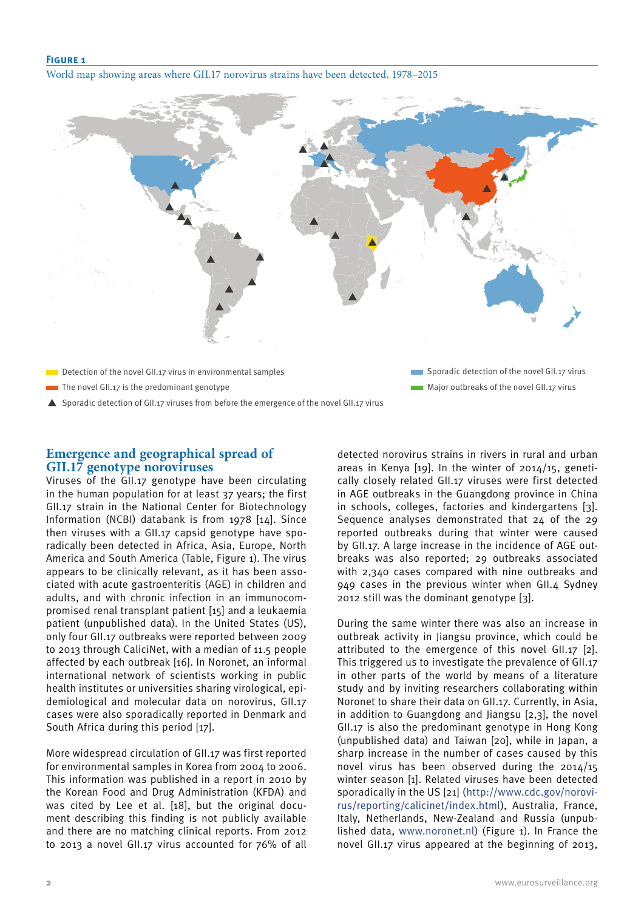#### **Figure 1**

World map showing areas where GII.17 norovirus strains have been detected, 1978–2015



Sporadic detection of GII.17 viruses from before the emergence of the novel GII.17 virus

## **Emergence and geographical spread of GII.17 genotype noroviruses**

Viruses of the GII.17 genotype have been circulating in the human population for at least 37 years; the first GII.17 strain in the National Center for Biotechnology Information (NCBI) databank is from 1978 [14]. Since then viruses with a GII.17 capsid genotype have sporadically been detected in Africa, Asia, Europe, North America and South America (Table, Figure 1). The virus appears to be clinically relevant, as it has been associated with acute gastroenteritis (AGE) in children and adults, and with chronic infection in an immunocompromised renal transplant patient [15] and a leukaemia patient (unpublished data). In the United States (US), only four GII.17 outbreaks were reported between 2009 to 2013 through CaliciNet, with a median of 11.5 people affected by each outbreak [16]. In Noronet, an informal international network of scientists working in public health institutes or universities sharing virological, epidemiological and molecular data on norovirus, GII.17 cases were also sporadically reported in Denmark and South Africa during this period [17].

More widespread circulation of GII.17 was first reported for environmental samples in Korea from 2004 to 2006. This information was published in a report in 2010 by the Korean Food and Drug Administration (KFDA) and was cited by Lee et al. [18], but the original document describing this finding is not publicly available and there are no matching clinical reports. From 2012 to 2013 a novel GII.17 virus accounted for 76% of all detected norovirus strains in rivers in rural and urban areas in Kenya [19]. In the winter of 2014/15, genetically closely related GII.17 viruses were first detected in AGE outbreaks in the Guangdong province in China in schools, colleges, factories and kindergartens [3]. Sequence analyses demonstrated that 24 of the 29 reported outbreaks during that winter were caused by GII.17. A large increase in the incidence of AGE outbreaks was also reported; 29 outbreaks associated with 2,340 cases compared with nine outbreaks and 949 cases in the previous winter when GII.4 Sydney 2012 still was the dominant genotype [3].

During the same winter there was also an increase in outbreak activity in Jiangsu province, which could be attributed to the emergence of this novel GII.17 [2]. This triggered us to investigate the prevalence of GII.17 in other parts of the world by means of a literature study and by inviting researchers collaborating within Noronet to share their data on GII.17. Currently, in Asia, in addition to Guangdong and Jiangsu [2,3], the novel GII.17 is also the predominant genotype in Hong Kong (unpublished data) and Taiwan [20], while in Japan, a sharp increase in the number of cases caused by this novel virus has been observed during the 2014/15 winter season [1]. Related viruses have been detected sporadically in the US [21] (http://www.cdc.gov/norovirus/reporting/calicinet/index.html), Australia, France, Italy, Netherlands, New-Zealand and Russia (unpublished data, www.noronet.nl) (Figure 1). In France the novel GII.17 virus appeared at the beginning of 2013,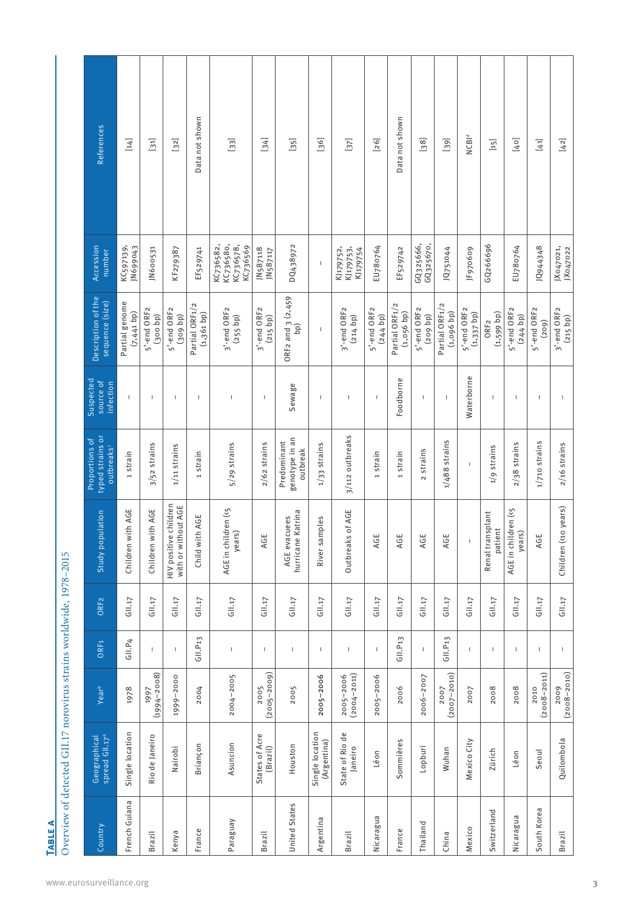| IABLI | Overview of detected GIL17 norovirus strains worldwide, 1978-2015 |
|-------|-------------------------------------------------------------------|

| <b>References</b>                               | [14]                           | $\overline{51}$         | [32]                                         | Data not shown              | $\begin{bmatrix} 33 \end{bmatrix}$              | $[34]$                     | $[35]$                                    | [36]                           | [37]                               | $[26]$                             | Data not shown                 | $[38]$                 | $[39]$                      | NCB <sup>Id</sup>           | $[15]$                           | [40]                          | $[41]$                   | $[42]$                                                                                                                                                                                                                                                                                                                                                                           |
|-------------------------------------------------|--------------------------------|-------------------------|----------------------------------------------|-----------------------------|-------------------------------------------------|----------------------------|-------------------------------------------|--------------------------------|------------------------------------|------------------------------------|--------------------------------|------------------------|-----------------------------|-----------------------------|----------------------------------|-------------------------------|--------------------------|----------------------------------------------------------------------------------------------------------------------------------------------------------------------------------------------------------------------------------------------------------------------------------------------------------------------------------------------------------------------------------|
| Accession<br>number                             | JN699043<br>KC597139,          | JN600531                | KF279387                                     | EF529741                    | KC736580,<br>KC736578,<br>KC736582,<br>KC736569 | JN587118<br>JN587117       | DQ438972                                  | I                              | KJ179753,<br>KJ179752,<br>KJ179754 | EU780764                           | EF529742                       | GQ325666,<br>GQ325670, | JQ751044                    | JF970609                    | GQ266696                         | EU780764                      | 10944348                 | JX047021,<br>JX047022                                                                                                                                                                                                                                                                                                                                                            |
| Description of the<br>sequence (size)           | Partial genome<br>$(7,441$ bp) | 5'-end ORF2<br>(300 b)  | 5'-end ORF2<br>(309 b)                       | Partial ORF1/2<br>(1,361 b) | 3'-end ORF2<br>(255 b)                          | 3'-end ORF2<br>(215 b)     | ORF2 and 3 (2,459<br><b>l</b> qq          | $\overline{1}$                 | 3'-end ORF2<br>(214 b)             | 5'-end ORF <sub>2</sub><br>(244 b) | Partial ORF1/2<br>$(1,056$ bp) | 5'-end ORF2<br>(209 b) | Partial ORF1/2<br>(1,096 b) | 5'-end ORF2<br>$(1,337$ bp) | $(1,599$ bp)<br>ORF <sub>2</sub> | 5'-end ORF2<br>$(244$ bp)     | 5'-end ORF2<br>(209)     | 3'-end ORF2<br>(215 b)                                                                                                                                                                                                                                                                                                                                                           |
| Suspected<br>source of<br>infection             | $\mathbf{I}$                   | T                       | T                                            | J.                          | $\begin{array}{c} \end{array}$                  | I                          | Sewage                                    | I                              | $\overline{\phantom{a}}$           | $\mathsf I$                        | Foodborne                      | $\mathbf{I}$           | $\overline{\phantom{a}}$    | Waterborne                  | $\overline{1}$                   | J.                            | $\overline{\phantom{a}}$ | $\begin{array}{c} \rule{0pt}{2.5ex} \rule{0pt}{2.5ex} \rule{0pt}{2.5ex} \rule{0pt}{2.5ex} \rule{0pt}{2.5ex} \rule{0pt}{2.5ex} \rule{0pt}{2.5ex} \rule{0pt}{2.5ex} \rule{0pt}{2.5ex} \rule{0pt}{2.5ex} \rule{0pt}{2.5ex} \rule{0pt}{2.5ex} \rule{0pt}{2.5ex} \rule{0pt}{2.5ex} \rule{0pt}{2.5ex} \rule{0pt}{2.5ex} \rule{0pt}{2.5ex} \rule{0pt}{2.5ex} \rule{0pt}{2.5ex} \rule{0$ |
| typed strains or<br>Proportions of<br>outbreaks | 1 strain                       | 3/52 strains            | $1/11$ strains                               | 1 strain                    | 5/29 strains                                    | $2/62$ strains             | genotype in an<br>Predominant<br>outbreak | $1/33$ strains                 | 3/112 outbreaks                    | 1 strain                           | 1 strain                       | 2 strains              | $1/488$ strains             | $\mathbf{I}$                | 1/9 strains                      | $2/38$ strains                | 1/710 strains            | $2/16$ strains                                                                                                                                                                                                                                                                                                                                                                   |
| Study population                                | Children with AGE              | Children with AGE       | HIV positive children<br>with or without AGE | Child with AGE              | AGE in children (<5<br>years)                   | ш<br>AC                    | Katrina<br>AGE evacuees<br>hurricane      | River samples                  | Outbreaks of AGE                   | ш<br>АG                            | ш<br>АG                        | ш<br>АG                | ш<br>АG                     | $\overline{\phantom{a}}$    | Renal transplant<br>patient      | AGE in children (<5<br>years) | Щ<br>AC                  | Children (<10 years)                                                                                                                                                                                                                                                                                                                                                             |
| ORF <sub>2</sub>                                | GII.17                         | G11.17                  | G11.17                                       | GII.17                      | $G11.17$                                        | GII.17                     | GII.17                                    | G11.17                         | GII.17                             | GII.17                             | G11.17                         | GII.17                 | GIII.17                     | Gil.17                      | GII.17                           | G11.17                        | GIII.17                  | G11.17                                                                                                                                                                                                                                                                                                                                                                           |
| ORF <sub>1</sub>                                | GII.P4                         | T.                      | T,                                           | G11. P13                    | $\sf I$                                         | $\mathsf I$                | $\mathsf I$                               | $\overline{\phantom{a}}$       | $\,$ $\,$                          | $\mathsf I$                        | G11. P13                       | $\mathbf I$            | G11. P13                    | $\mathsf I$                 | $\mathbf{I}$                     | $\mathbb I$                   | $\mathsf I$              | $\mathsf I$                                                                                                                                                                                                                                                                                                                                                                      |
| Year <sup>b</sup>                               | 1978                           | $(1994 - 2008)$<br>1997 | 1999-2000                                    | 2004                        | 2004-2005                                       | $(2005 - 2009)$<br>2005    | 2005                                      | 2005-2006                      | $(2004 - 2011)$<br>2005-2006       | 2005-2006                          | 2006                           | 2006-2007              | $(2007 - 2010)$<br>2007     | 2007                        | 2008                             | 2008                          | $(2008 - 2011)$<br>2010  | $(2008 - 2010)$<br>2009                                                                                                                                                                                                                                                                                                                                                          |
| spread GII.17 <sup>ª</sup><br>Geographical      | Single location                | Rio de Janeiro          | Nairobi                                      | Briançon                    | Asuncion                                        | States of Acre<br>(Brazil) | Houston                                   | Single location<br>(Argentina) | State of Rio de<br>Janeiro         | Léon                               | Sommières                      | Lopburi                | Wuhan                       | Mexico City                 | Zürich                           | Léon                          | Seoul                    | Quilombola                                                                                                                                                                                                                                                                                                                                                                       |
| Country                                         | French Guiana                  | Brazil                  | Kenya                                        | France                      | Paraguay                                        | Brazil                     | United States                             | Argentina                      | Brazil                             | Nicaragua                          | France                         | Thailand               | China                       | Mexico                      | Switzerland                      | Nicaragua                     | South Korea              | Brazil                                                                                                                                                                                                                                                                                                                                                                           |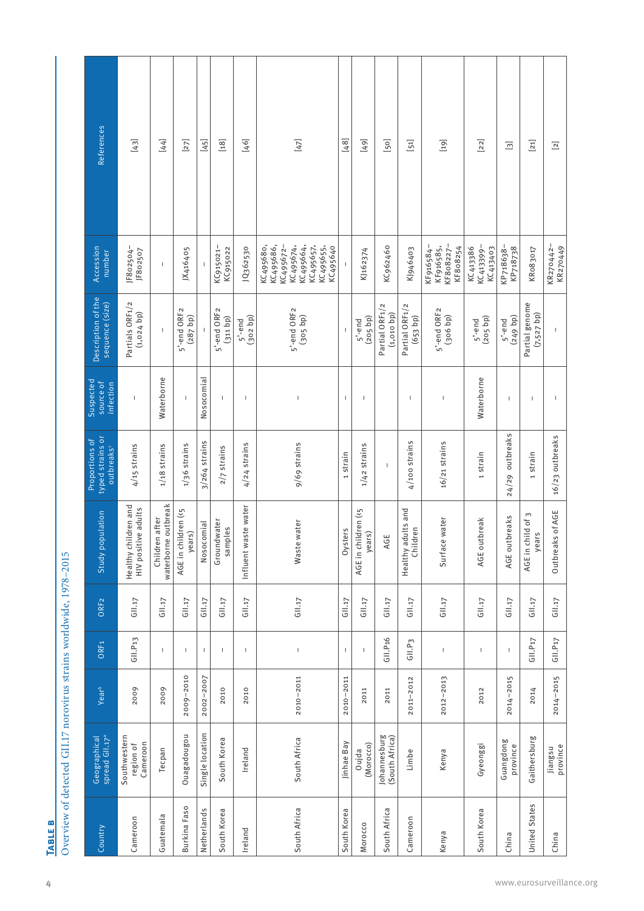|                     | 7 < 4 x < 5 x < 5 C |
|---------------------|---------------------|
|                     | عمدم فللمحمد        |
| <b>DUC 040</b><br>i |                     |
| ٦ē                  |                     |

|               | Geographical<br>spread Gll.17 <sup>ª</sup> | Year <sup>b</sup> | ORF <sub>1</sub>         | ORF <sub>2</sub> | Study population                               | typed strains or<br>Proportions of<br>outbreaks | Suspected<br>source of<br>infection | Description of the<br>sequence (size) | Accession<br>number                                                                                 | References                            |
|---------------|--------------------------------------------|-------------------|--------------------------|------------------|------------------------------------------------|-------------------------------------------------|-------------------------------------|---------------------------------------|-----------------------------------------------------------------------------------------------------|---------------------------------------|
|               | Southwestern<br>Cameroon<br>region of      | 2009              | G11. P13                 | GII.17           | Healthy children and<br>HIV positive adults    | $4/15$ strains                                  | $\mathbf{I}$                        | Partials ORF1/2<br>(1, 024 b)         | JF802504-<br>JF802507                                                                               | [43]                                  |
|               | Tecpan                                     | 2009              | $\overline{\phantom{a}}$ | GII.17           | waterborne outbreak<br>Children after          | $1/18$ strains                                  | Waterborne                          |                                       | I                                                                                                   | $[44]$                                |
| Burkina Faso  | Ouagadougou                                | 2009-2010         | $\mathbf{I}$             | G11.17           | AGE in children (<5<br>years)                  | $1/36$ strains                                  |                                     | 5'-end ORF2<br>$(287$ bp)             | JX416405                                                                                            | $[27]$                                |
| Netherlands   | Single location                            | 2002-2007         | $\mathsf I$              | GII.17           | Nosocomial                                     | $3/264$ strains                                 | Nosocomial                          |                                       |                                                                                                     | [45]                                  |
| South Korea   | South Korea                                | 2010              | $\overline{1}$           | GII.17           | Groundwater<br>samples                         | 2/7 strains                                     | $\overline{1}$                      | 5'-end ORF2<br>(311 b)                | KC915021-<br>KC915022                                                                               | $[18]$                                |
|               | Ireland                                    | 2010              | T.                       | GII.17           | Influent waste water                           | $4/24$ strains                                  | T.                                  | (302 b)<br>$5'-end$                   | 1Q362530                                                                                            | $[46]$                                |
| South Africa  | South Africa                               | $2010 - 2011$     | $\,$ $\,$                | GII.17           | Waste water                                    | 9/69 strains                                    | $\overline{\phantom{a}}$            | 5'-end ORF2<br>$(305$ bp)             | KC495686,<br>KC495664,<br>KC495674,<br>KC495672-<br>KC495680,<br>KC495657,<br>KC495655,<br>KC495640 | $[47]$                                |
| South Korea   | Jinhae Bay                                 | $2010 - 2011$     | $\overline{\phantom{a}}$ | GII.17           | Oysters                                        | 1 strain                                        | $\overline{\phantom{a}}$            |                                       |                                                                                                     | [48]                                  |
|               | (Morocco)<br>Oujda                         | 2011              | $\overline{1}$           | $G11.17$         | AGE in children (<5<br>$\widetilde{S}$<br>year | $1/42$ strains                                  | $\mathbb{I}$                        | (205 b)<br>5'-end                     | KJ162374                                                                                            | [49]                                  |
| South Africa  | Johannesburg<br>(South Africa)             | 2011              | GII.P <sub>16</sub>      | G11.17           | AGE                                            | $\mathbf{I}$                                    |                                     | Partial ORF1/2<br>$(1,010$ bp)        | KC962460                                                                                            | [50]                                  |
|               | Limbe                                      | 2011-2012         | G11.P3                   | $G11.17$         | Healthy adults and<br>Children                 | $4/100$ strains                                 | J.                                  | Partial ORF1/2<br>$(653$ bp)          | KJ946403                                                                                            | $\begin{bmatrix} 51 \end{bmatrix}$    |
|               | Kenya                                      | 2012-2013         | $\overline{\phantom{a}}$ | GII.17           | Surface water                                  | $16/21$ strains                                 |                                     | 5'-end ORF2<br>(306 b)                | KF808227-<br>KF916584-<br>KF916585,<br>KF808254                                                     | $[19]$                                |
| South Korea   | Gyeonggi                                   | 2012              | $\mathbf{I}$             | G11.17           | AGE outbreak                                   | 1 strain                                        | Waterborne                          | $(205$ bp)<br>$5'$ -end               | KC413399-<br>KC413386<br>KC413403                                                                   | $\begin{bmatrix} 2 & 2 \end{bmatrix}$ |
|               | Guangdong<br>province                      | 2014-2015         |                          | GII.17           | AGE outbreaks                                  | 24/29 outbreaks                                 |                                     | (qd q q)<br>$5'$ -end                 | KP718638-<br>KP718738                                                                               | $\boxed{3}$                           |
| United States | Gaithersburg                               | 2014              | GII.P <sub>17</sub>      | GII.17           | AGE in child of 3<br>years                     | 1 strain                                        | $\mathsf{I}$                        | Partial genome<br>(7, 527 b)          | KR083017                                                                                            | $[21]$                                |
|               | province<br>Jiangsu                        | 2014-2015         | G11.P17                  | G11.17           | Outbreaks of AGE                               | 16/23 outbreaks                                 | $\mathsf I$                         | $\overline{\phantom{a}}$              | KR270442-<br>KR270449                                                                               | $\overline{2}$                        |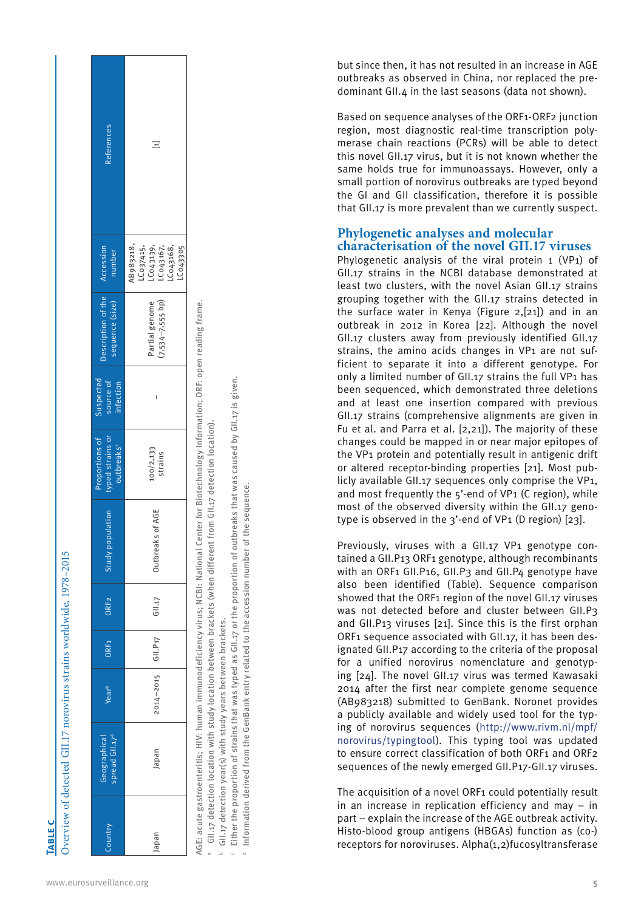| www.eurosurveillance.org |  |
|--------------------------|--|

**Table c**

| 1070, 0015                                    |                   |                                                                                                     |
|-----------------------------------------------|-------------------|-----------------------------------------------------------------------------------------------------|
|                                               |                   |                                                                                                     |
|                                               |                   |                                                                                                     |
|                                               |                   |                                                                                                     |
|                                               |                   |                                                                                                     |
|                                               |                   |                                                                                                     |
|                                               |                   |                                                                                                     |
|                                               |                   |                                                                                                     |
|                                               |                   |                                                                                                     |
|                                               |                   |                                                                                                     |
|                                               |                   |                                                                                                     |
|                                               |                   |                                                                                                     |
|                                               |                   |                                                                                                     |
|                                               |                   |                                                                                                     |
|                                               |                   |                                                                                                     |
|                                               |                   | $\frac{1}{2}$                                                                                       |
|                                               |                   |                                                                                                     |
|                                               |                   |                                                                                                     |
|                                               |                   |                                                                                                     |
|                                               |                   |                                                                                                     |
|                                               |                   |                                                                                                     |
|                                               |                   | י הוא דד גרא דה                                                                                     |
|                                               |                   |                                                                                                     |
|                                               |                   |                                                                                                     |
|                                               |                   |                                                                                                     |
|                                               |                   |                                                                                                     |
|                                               |                   |                                                                                                     |
|                                               |                   |                                                                                                     |
|                                               |                   |                                                                                                     |
|                                               |                   |                                                                                                     |
| $CII$ 17 november of the incomplete $\lambda$ |                   |                                                                                                     |
|                                               |                   |                                                                                                     |
|                                               |                   |                                                                                                     |
|                                               |                   | ;                                                                                                   |
|                                               |                   |                                                                                                     |
|                                               |                   |                                                                                                     |
|                                               |                   |                                                                                                     |
|                                               |                   |                                                                                                     |
|                                               |                   |                                                                                                     |
|                                               |                   |                                                                                                     |
|                                               |                   |                                                                                                     |
|                                               |                   |                                                                                                     |
|                                               | $-5$ $-5$ $+$ $-$ | ֧֦֦֦֪֪֦֧֧֧֧֧֧֧֧֪֪֦֪֪֪֪֪֪֛֪֪֛֪֪֛֪֪֛֪֛֪֛֪֛֪֛֪֛֪֛֪֛֪֪֛֚֚֝֝֘֝֝֬֝֬֝֬֓֓֝֓֟֓֬֝֓֝֬֝֬֟֓֟֓֝֬֝֓֟֓֝֬֟֓֝֬֝֓֝֬֝֟֟ |
|                                               |                   |                                                                                                     |
|                                               |                   | ׇ֧ׅ֚֜֝                                                                                              |
|                                               |                   |                                                                                                     |
|                                               |                   |                                                                                                     |
|                                               |                   |                                                                                                     |
|                                               |                   |                                                                                                     |
|                                               |                   |                                                                                                     |
|                                               |                   |                                                                                                     |
|                                               |                   |                                                                                                     |
| I                                             | いしょう きょうしゅう しょうこう | 5                                                                                                   |

015

| References                                                   | Ξ                                                                                    |
|--------------------------------------------------------------|--------------------------------------------------------------------------------------|
| Accession<br>number                                          | 1B983218,<br>LC037415,<br>LC043139,<br>LC043168,<br>LC043168,<br>Co <sub>43305</sub> |
| bescription of the<br>sequence (size)                        | 7,534-7,555 bp)<br>Partial genome                                                    |
| Suspected<br>source of<br>infection                          |                                                                                      |
| Proportions of<br>typed strains or<br>outbreaks <sup>c</sup> | 100/2,133<br>strains                                                                 |
| <b>Topulation</b><br>Study                                   | Outbreaks of AGE                                                                     |
| ORF <sub>2</sub>                                             | G11.17                                                                               |
| ORF <sub>1</sub>                                             |                                                                                      |
| Year <sup>b</sup>                                            | 2014-2015 GII.P17                                                                    |
| Geographical<br>spread GII.17ª                               | lapan                                                                                |
| Country                                                      | Japan                                                                                |

AGE: acute gastroenteritis; HIV: human immunodeficiency virus; NGBI: National Center for Biotechnology Information; ORF: open reading frame. AGE: acute gastroenteritis; HIV: human immunodeficiency virus; NCBI: National Center for Biotechnology Information; ORF: open reading frame.

a GII.17 detection location with study location between brackets (when different from GII.17 detection location). GII.17 detection location with study location between brackets (when different from GII.17 detection location)

GII.17 detection year(s) with study years between brackets. GII.17 detection year(s) with study years between brackets.

Either the proportion of strains that was typed as

 $\cdot$  Either the proportion of strains that was typed as GII.17 or the proportion of outbreaks that was caused by GII.17 is given. GII.17 or the proportion of outbreaks that was caused by GII.17 is given. ≂

Information derived from the GenBank entry related to the accession number of the sequence. Information derived from the GenBank entry related to the accession number of the sequence. but since then, it has not resulted in an increase in AGE outbreaks as observed in China, nor replaced the pre dominant GII.4 in the last seasons (data not shown).

Based on sequence analyses of the ORF1-ORF2 junction region, most diagnostic real-time transcription poly merase chain reactions (PCRs) will be able to detect this novel GII.17 virus, but it is not known whether the same holds true for immunoassays. However, only a small portion of norovirus outbreaks are typed beyond the GI and GII classification, therefore it is possible that GII.17 is more prevalent than we currently suspect.

# **Phylogenetic analyses and molecular characterisation of the novel GII.17 viruses**

Phylogenetic analysis of the viral protein 1 (VP1) of GII.17 strains in the NCBI database demonstrated at least two clusters, with the novel Asian GII.17 strains grouping together with the GII.17 strains detected in the surface water in Kenya (Figure 2,[21]) and in an outbreak in 2012 in Korea [22]. Although the novel GII.17 clusters away from previously identified GII.17 strains, the amino acids changes in VP1 are not suf ficient to separate it into a different genotype. For only a limited number of GII.17 strains the full VP1 has been sequenced, which demonstrated three deletions and at least one insertion compared with previous GII.17 strains (comprehensive alignments are given in Fu et al. and Parra et al. [2,21]). The majority of these changes could be mapped in or near major epitopes of the VP1 protein and potentially result in antigenic drift or altered receptor-binding properties [21]. Most pub licly available GII.17 sequences only comprise the VP1, and most frequently the 5'-end of VP1 (C region), while most of the observed diversity within the GII.17 geno type is observed in the 3'-end of VP1 (D region) [23].

Previously, viruses with a GII.17 VP1 genotype contained a GII.P13 ORF1 genotype, although recombinants with an ORF1 GII.P16, GII.P3 and GII.P4 genotype have also been identified (Table). Sequence comparison showed that the ORF1 region of the novel GII.17 viruses was not detected before and cluster between GII.P3 and GII.P13 viruses [21]. Since this is the first orphan ORF1 sequence associated with GII.17, it has been designated GII.P17 according to the criteria of the proposal for a unified norovirus nomenclature and genotyp ing [24]. The novel GII.17 virus was termed Kawasaki 2014 after the first near complete genome sequence (AB983218) submitted to GenBank. Noronet provides a publicly available and widely used tool for the typ ing of norovirus sequences (http://www.rivm.nl/mpf/ norovirus/typingtool). This typing tool was updated to ensure correct classification of both ORF1 and ORF2 sequences of the newly emerged GII.P17-GII.17 viruses.

The acquisition of a novel ORF1 could potentially result in an increase in replication efficiency and may – in part – explain the increase of the AGE outbreak activity. Histo-blood group antigens (HBGAs) function as (co-) receptors for noroviruses. Alpha(1,2)fucosyltransferase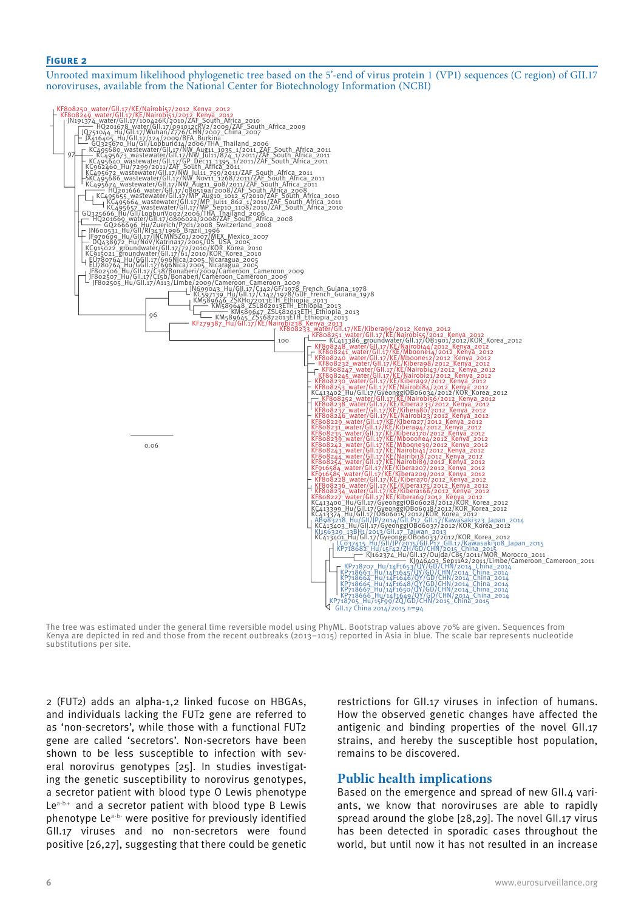#### **Figure 2**

Unrooted maximum likelihood phylogenetic tree based on the 5'-end of virus protein 1 (VP1) sequences (C region) of GII.17 noroviruses, available from the National Center for Biotechnology Information (NCBI)



The tree was estimated under the general time reversible model using PhyML. Bootstrap values above 70% are given. Sequences from Kenya are depicted in red and those from the recent outbreaks (2013–1015) reported in Asia in blue. The scale bar represents nucleotide substitutions per site.

2 (FUT2) adds an alpha-1,2 linked fucose on HBGAs, and individuals lacking the FUT2 gene are referred to as 'non-secretors', while those with a functional FUT2 gene are called 'secretors'. Non-secretors have been shown to be less susceptible to infection with several norovirus genotypes [25]. In studies investigating the genetic susceptibility to norovirus genotypes, a secretor patient with blood type O Lewis phenotype  $Le^{a-b+}$  and a secretor patient with blood type B Lewis phenotype Le<sup>a-b-</sup> were positive for previously identified GII.17 viruses and no non-secretors were found positive [26,27], suggesting that there could be genetic

restrictions for GII.17 viruses in infection of humans. How the observed genetic changes have affected the antigenic and binding properties of the novel GII.17 strains, and hereby the susceptible host population, remains to be discovered.

#### **Public health implications**

Based on the emergence and spread of new GII.4 variants, we know that noroviruses are able to rapidly spread around the globe [28,29]. The novel GII.17 virus has been detected in sporadic cases throughout the world, but until now it has not resulted in an increase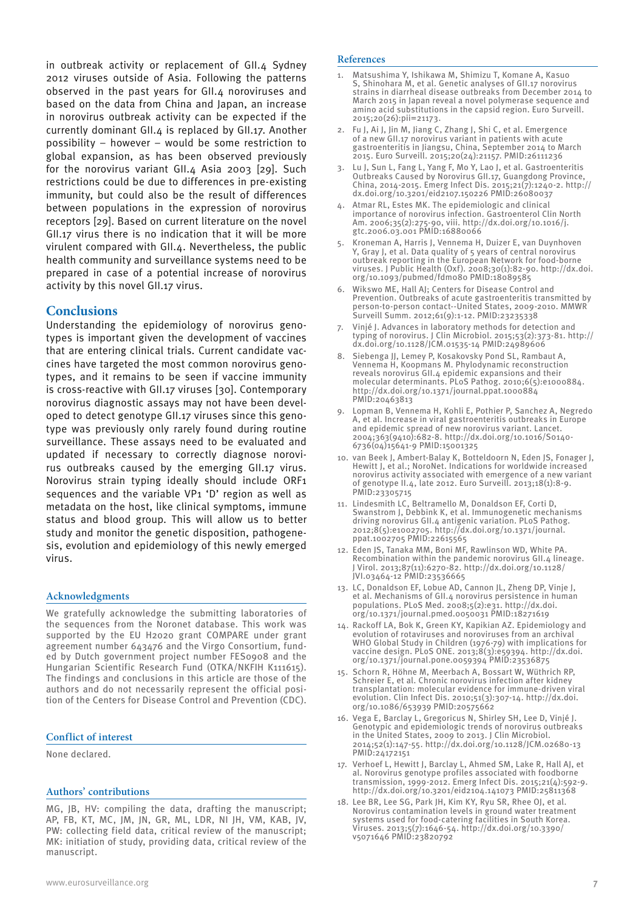in outbreak activity or replacement of GII.4 Sydney 2012 viruses outside of Asia. Following the patterns observed in the past years for GII.4 noroviruses and based on the data from China and Japan, an increase in norovirus outbreak activity can be expected if the currently dominant GII.4 is replaced by GII.17. Another possibility – however – would be some restriction to global expansion, as has been observed previously for the norovirus variant GII.4 Asia 2003 [29]. Such restrictions could be due to differences in pre-existing immunity, but could also be the result of differences between populations in the expression of norovirus receptors [29]. Based on current literature on the novel GII.17 virus there is no indication that it will be more virulent compared with GII.4. Nevertheless, the public health community and surveillance systems need to be prepared in case of a potential increase of norovirus activity by this novel GII.17 virus.

## **Conclusions**

Understanding the epidemiology of norovirus genotypes is important given the development of vaccines that are entering clinical trials. Current candidate vaccines have targeted the most common norovirus genotypes, and it remains to be seen if vaccine immunity is cross-reactive with GII.17 viruses [30]. Contemporary norovirus diagnostic assays may not have been developed to detect genotype GII.17 viruses since this genotype was previously only rarely found during routine surveillance. These assays need to be evaluated and updated if necessary to correctly diagnose norovirus outbreaks caused by the emerging GII.17 virus. Norovirus strain typing ideally should include ORF1 sequences and the variable VP1 'D' region as well as metadata on the host, like clinical symptoms, immune status and blood group. This will allow us to better study and monitor the genetic disposition, pathogenesis, evolution and epidemiology of this newly emerged virus.

#### **Acknowledgments**

We gratefully acknowledge the submitting laboratories of the sequences from the Noronet database. This work was supported by the EU H2020 grant COMPARE under grant agreement number 643476 and the Virgo Consortium, funded by Dutch government project number FES0908 and the Hungarian Scientific Research Fund (OTKA/NKFIH K111615). The findings and conclusions in this article are those of the authors and do not necessarily represent the official position of the Centers for Disease Control and Prevention (CDC).

#### **Conflict of interest**

None declared.

#### **Authors' contributions**

MG, JB, HV: compiling the data, drafting the manuscript; AP, FB, KT, MC, JM, JN, GR, ML, LDR, NI JH, VM, KAB, JV, PW: collecting field data, critical review of the manuscript; MK: initiation of study, providing data, critical review of the manuscript.

#### **References**

- 1. Matsushima Y, Ishikawa M, Shimizu T, Komane A, Kasuo S, Shinohara M, et al. Genetic analyses of GII.17 norovirus strains in diarrheal disease outbreaks from December 2014 to March 2015 in Japan reveal a novel polymerase sequence and amino acid substitutions in the capsid region. Euro Surveill. 2015;20(26):pii=21173.
- 2. Fu J, Ai J, Jin M, Jiang C, Zhang J, Shi C, et al. Emergence of a new GII.17 norovirus variant in patients with acute gastroenteritis in Jiangsu, China, September 2014 to March 2015. Euro Surveill. 2015;20(24):21157. PMID:26111236
- 3. Lu J, Sun L, Fang L, Yang F, Mo Y, Lao J, et al. Gastroenteritis Outbreaks Caused by Norovirus GII.17, Guangdong Province, China, 2014-2015. Emerg Infect Dis. 2015;21(7):1240-2. http:// dx.doi.org/10.3201/eid2107.150226 PMID:26080037
- Atmar RL, Estes MK. The epidemiologic and clinical importance of norovirus infection. Gastroenterol Clin North Am. 2006;35(2):275-90, viii. http://dx.doi.org/10.1016/j. gtc.2006.03.001 PMID:16880066
- 5. Kroneman A, Harris J, Vennema H, Duizer E, van Duynhoven Y, Gray J, et al. Data quality of 5 years of central norovirus outbreak reporting in the European Network for food-borne viruses. J Public Health (Oxf). 2008;30(1):82-90. http://dx.doi. org/10.1093/pubmed/fdm080 PMID:18089585
- 6. Wikswo ME, Hall AJ; Centers for Disease Control and Prevention. Outbreaks of acute gastroenteritis transmitted by person-to-person contact--United States, 2009-2010. MMWR Surveill Summ. 2012;61(9):1-12. PMID:23235338
- Vinjé J. Advances in laboratory methods for detection and typing of norovirus. J Clin Microbiol. 2015;53(2):373-81. http:// dx.doi.org/10.1128/JCM.01535-14 PMID:24989606
- 8. Siebenga JJ, Lemey P, Kosakovsky Pond SL, Rambaut A, Vennema H, Koopmans M. Phylodynamic reconstruction reveals norovirus GII.4 epidemic expansions and their molecular determinants. PLoS Pathog. 2010;6(5):e1000884. http://dx.doi.org/10.1371/journal.ppat.1000884 PMID:20463813
- 9. Lopman B, Vennema H, Kohli E, Pothier P, Sanchez A, Negredo A, et al. Increase in viral gastroenteritis outbreaks in Europe and epidemic spread of new norovirus variant. Lancet. 2004;363(9410):682-8. http://dx.doi.org/10.1016/S0140- 6736(04)15641-9 PMID:15001325
- 10. van Beek J, Ambert-Balay K, Botteldoorn N, Eden JS, Fonager J, Hewitt J, et al.; NoroNet. Indications for worldwide increased norovirus activity associated with emergence of a new variant of genotype II.4, late 2012. Euro Surveill. 2013;18(1):8-9. PMID:23305715
- 11. Lindesmith LC, Beltramello M, Donaldson EF, Corti D, Swanstrom J, Debbink K, et al. Immunogenetic mechanisms driving norovirus GII.4 antigenic variation. PLoS Pathog. 2012;8(5):e1002705. http://dx.doi.org/10.1371/journal. ppat.1002705 PMID:22615565
- 12. Eden JS, Tanaka MM, Boni MF, Rawlinson WD, White PA. Recombination within the pandemic norovirus GII.4 lineage. J Virol. 2013;87(11):6270-82. http://dx.doi.org/10.1128/ JVI.03464-12 PMID:23536665
- 13. LC, Donaldson EF, Lobue AD, Cannon JL, Zheng DP, Vinje J, et al. Mechanisms of GII.4 norovirus persistence in human populations. PLoS Med. 2008;5(2):e31. http://dx.doi. org/10.1371/journal.pmed.0050031 PMID:18271619
- 14. Rackoff LA, Bok K, Green KY, Kapikian AZ. Epidemiology and evolution of rotaviruses and noroviruses from an archival WHO Global Study in Children (1976-79) with implications for vaccine design. PLoS ONE. 2013;8(3):e59394. http://dx.doi. org/10.1371/journal.pone.0059394 PMID:23536875
- 15. Schorn R, Höhne M, Meerbach A, Bossart W, Wüthrich RP, Schreier E, et al. Chronic norovirus infection after kidney transplantation: molecular evidence for immune-driven viral evolution. Clin Infect Dis. 2010;51(3):307-14. http://dx.doi. org/10.1086/653939 PMID:20575662
- 16. Vega E, Barclay L, Gregoricus N, Shirley SH, Lee D, Vinjé J. Genotypic and epidemiologic trends of norovirus outbreaks in the United States, 2009 to 2013. J Clin Microbiol. 2014;52(1):147-55. http://dx.doi.org/10.1128/JCM.02680-13 PMID:24172151
- 17. Verhoef L, Hewitt J, Barclay L, Ahmed SM, Lake R, Hall AJ, et al. Norovirus genotype profiles associated with foodborne transmission, 1999-2012. Emerg Infect Dis. 2015;21(4):592-9. http://dx.doi.org/10.3201/eid2104.141073 PMID:25811368
- 18. Lee BR, Lee SG, Park JH, Kim KY, Ryu SR, Rhee OJ, et al. Norovirus contamination levels in ground water treatment systems used for food-catering facilities in South Korea. Viruses. 2013;5(7):1646-54. http://dx.doi.org/10.3390/ v5071646 PMID:23820792